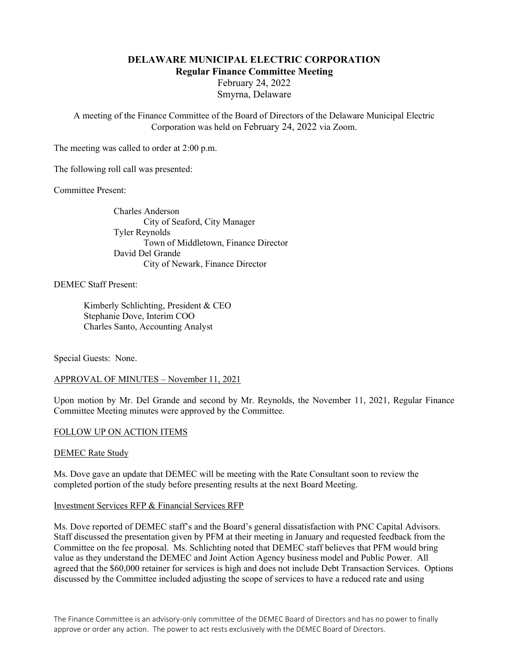# DELAWARE MUNICIPAL ELECTRIC CORPORATION Regular Finance Committee Meeting

February 24, 2022 Smyrna, Delaware

A meeting of the Finance Committee of the Board of Directors of the Delaware Municipal Electric Corporation was held on February 24, 2022 via Zoom.

The meeting was called to order at 2:00 p.m.

The following roll call was presented:

Committee Present:

Charles Anderson City of Seaford, City Manager Tyler Reynolds Town of Middletown, Finance Director David Del Grande City of Newark, Finance Director

#### DEMEC Staff Present:

 Kimberly Schlichting, President & CEO Stephanie Dove, Interim COO Charles Santo, Accounting Analyst

Special Guests: None.

#### APPROVAL OF MINUTES – November 11, 2021

Upon motion by Mr. Del Grande and second by Mr. Reynolds, the November 11, 2021, Regular Finance Committee Meeting minutes were approved by the Committee.

#### FOLLOW UP ON ACTION ITEMS

#### DEMEC Rate Study

Ms. Dove gave an update that DEMEC will be meeting with the Rate Consultant soon to review the completed portion of the study before presenting results at the next Board Meeting.

#### Investment Services RFP & Financial Services RFP

Ms. Dove reported of DEMEC staff's and the Board's general dissatisfaction with PNC Capital Advisors. Staff discussed the presentation given by PFM at their meeting in January and requested feedback from the Committee on the fee proposal. Ms. Schlichting noted that DEMEC staff believes that PFM would bring value as they understand the DEMEC and Joint Action Agency business model and Public Power. All agreed that the \$60,000 retainer for services is high and does not include Debt Transaction Services. Options discussed by the Committee included adjusting the scope of services to have a reduced rate and using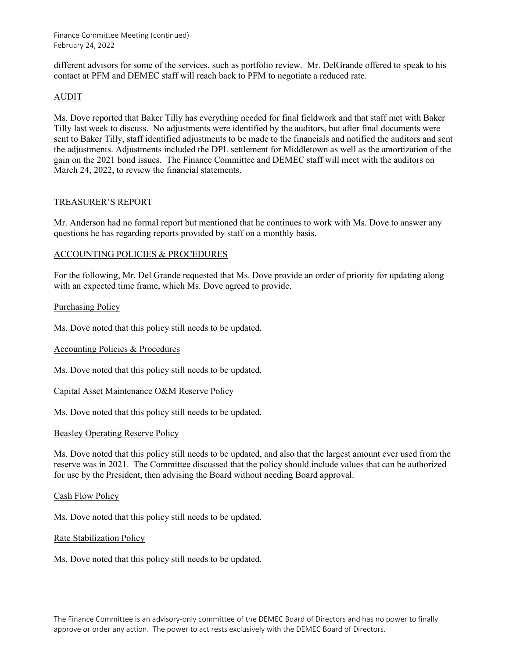different advisors for some of the services, such as portfolio review. Mr. DelGrande offered to speak to his contact at PFM and DEMEC staff will reach back to PFM to negotiate a reduced rate.

# AUDIT

Ms. Dove reported that Baker Tilly has everything needed for final fieldwork and that staff met with Baker Tilly last week to discuss. No adjustments were identified by the auditors, but after final documents were sent to Baker Tilly, staff identified adjustments to be made to the financials and notified the auditors and sent the adjustments. Adjustments included the DPL settlement for Middletown as well as the amortization of the gain on the 2021 bond issues. The Finance Committee and DEMEC staff will meet with the auditors on March 24, 2022, to review the financial statements.

## TREASURER'S REPORT

Mr. Anderson had no formal report but mentioned that he continues to work with Ms. Dove to answer any questions he has regarding reports provided by staff on a monthly basis.

## ACCOUNTING POLICIES & PROCEDURES

For the following, Mr. Del Grande requested that Ms. Dove provide an order of priority for updating along with an expected time frame, which Ms. Dove agreed to provide.

## Purchasing Policy

Ms. Dove noted that this policy still needs to be updated.

## Accounting Policies & Procedures

Ms. Dove noted that this policy still needs to be updated.

## Capital Asset Maintenance O&M Reserve Policy

Ms. Dove noted that this policy still needs to be updated.

## Beasley Operating Reserve Policy

Ms. Dove noted that this policy still needs to be updated, and also that the largest amount ever used from the reserve was in 2021. The Committee discussed that the policy should include values that can be authorized for use by the President, then advising the Board without needing Board approval.

## Cash Flow Policy

Ms. Dove noted that this policy still needs to be updated.

## Rate Stabilization Policy

Ms. Dove noted that this policy still needs to be updated.